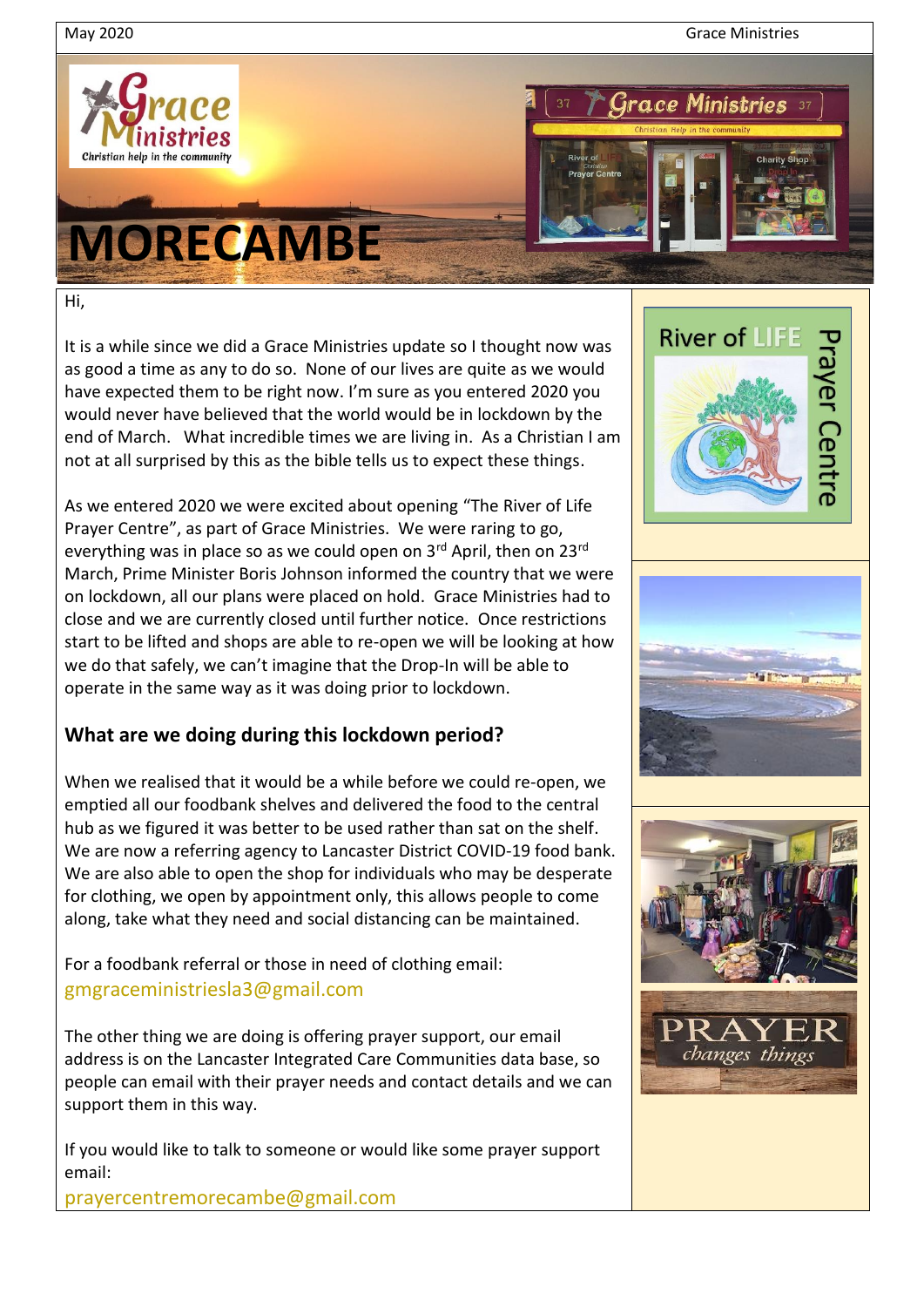May 2020 Grace Ministries



## **MORECAMBE**



Hi,

It is a while since we did a Grace Ministries update so I thought now was as good a time as any to do so. None of our lives are quite as we would have expected them to be right now. I'm sure as you entered 2020 you would never have believed that the world would be in lockdown by the end of March. What incredible times we are living in. As a Christian I am not at all surprised by this as the bible tells us to expect these things.

As we entered 2020 we were excited about opening "The River of Life Prayer Centre", as part of Grace Ministries. We were raring to go, everything was in place so as we could open on 3<sup>rd</sup> April, then on 23<sup>rd</sup> March, Prime Minister Boris Johnson informed the country that we were on lockdown, all our plans were placed on hold. Grace Ministries had to close and we are currently closed until further notice. Once restrictions start to be lifted and shops are able to re-open we will be looking at how we do that safely, we can't imagine that the Drop-In will be able to operate in the same way as it was doing prior to lockdown.

## **What are we doing during this lockdown period?**

When we realised that it would be a while before we could re-open, we emptied all our foodbank shelves and delivered the food to the central hub as we figured it was better to be used rather than sat on the shelf. We are now a referring agency to Lancaster District COVID-19 food bank. We are also able to open the shop for individuals who may be desperate for clothing, we open by appointment only, this allows people to come along, take what they need and social distancing can be maintained.

For a foodbank referral or those in need of clothing email: [gmgraceministriesla3@gmail.com](mailto:gmgraceministriesla3@gmail.com)

The other thing we are doing is offering prayer support, our email address is on the Lancaster Integrated Care Communities data base, so people can email with their prayer needs and contact details and we can support them in this way.

If you would like to talk to someone or would like some prayer support email:

prayercentremorecambe@gmail.com